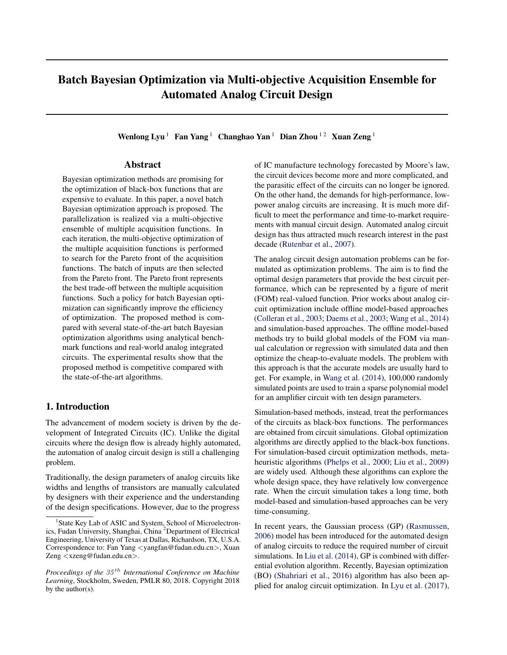# Batch Bayesian Optimization via Multi-objective Acquisition Ensemble for Automated Analog Circuit Design

Wenlong Lyu<sup>1</sup> Fan Yang<sup>1</sup> Changhao Yan<sup>1</sup> Dian Zhou<sup>12</sup> Xuan Zeng<sup>1</sup>

# Abstract

Bayesian optimization methods are promising for the optimization of black-box functions that are expensive to evaluate. In this paper, a novel batch Bayesian optimization approach is proposed. The parallelization is realized via a multi-objective ensemble of multiple acquisition functions. In each iteration, the multi-objective optimization of the multiple acquisition functions is performed to search for the Pareto front of the acquisition functions. The batch of inputs are then selected from the Pareto front. The Pareto front represents the best trade-off between the multiple acquisition functions. Such a policy for batch Bayesian optimization can significantly improve the efficiency of optimization. The proposed method is compared with several state-of-the-art batch Bayesian optimization algorithms using analytical benchmark functions and real-world analog integrated circuits. The experimental results show that the proposed method is competitive compared with the state-of-the-art algorithms.

# 1. Introduction

The advancement of modern society is driven by the development of Integrated Circuits (IC). Unlike the digital circuits where the design flow is already highly automated, the automation of analog circuit design is still a challenging problem.

Traditionally, the design parameters of analog circuits like widths and lengths of transistors are manually calculated by designers with their experience and the understanding of the design specifications. However, due to the progress of IC manufacture technology forecasted by Moore's law, the circuit devices become more and more complicated, and the parasitic effect of the circuits can no longer be ignored. On the other hand, the demands for high-performance, lowpower analog circuits are increasing. It is much more difficult to meet the performance and time-to-market requirements with manual circuit design. Automated analog circuit design has thus attracted much research interest in the past decade [\(Rutenbar et al.,](#page-8-0) [2007\)](#page-8-0).

The analog circuit design automation problems can be formulated as optimization problems. The aim is to find the optimal design parameters that provide the best circuit performance, which can be represented by a figure of merit (FOM) real-valued function. Prior works about analog circuit optimization include offline model-based approaches [\(Colleran et al.,](#page-7-0) [2003;](#page-7-0) [Daems et al.,](#page-7-0) [2003;](#page-7-0) [Wang et al.,](#page-8-0) [2014\)](#page-8-0) and simulation-based approaches. The offline model-based methods try to build global models of the FOM via manual calculation or regression with simulated data and then optimize the cheap-to-evaluate models. The problem with this approach is that the accurate models are usually hard to get. For example, in [Wang et al.](#page-8-0) [\(2014\)](#page-8-0), 100,000 randomly simulated points are used to train a sparse polynomial model for an amplifier circuit with ten design parameters.

Simulation-based methods, instead, treat the performances of the circuits as black-box functions. The performances are obtained from circuit simulations. Global optimization algorithms are directly applied to the black-box functions. For simulation-based circuit optimization methods, metaheuristic algorithms [\(Phelps et al.,](#page-8-0) [2000;](#page-8-0) [Liu et al.,](#page-8-0) [2009\)](#page-8-0) are widely used. Although these algorithms can explore the whole design space, they have relatively low convergence rate. When the circuit simulation takes a long time, both model-based and simulation-based approaches can be very time-consuming.

In recent years, the Gaussian process (GP) [\(Rasmussen,](#page-8-0) [2006\)](#page-8-0) model has been introduced for the automated design of analog circuits to reduce the required number of circuit simulations. In [Liu et al.](#page-8-0) [\(2014\)](#page-8-0), GP is combined with differential evolution algorithm. Recently, Bayesian optimization (BO) [\(Shahriari et al.,](#page-8-0) [2016\)](#page-8-0) algorithm has also been applied for analog circuit optimization. In [Lyu et al.](#page-8-0) [\(2017\)](#page-8-0),

<sup>&</sup>lt;sup>1</sup> State Key Lab of ASIC and System, School of Microelectronics, Fudan University, Shanghai, China <sup>2</sup>Department of Electrical Engineering, University of Texas at Dallas, Richardson, TX, U.S.A. Correspondence to: Fan Yang <yangfan@fudan.edu.cn>, Xuan Zeng <xzeng@fudan.edu.cn>.

*Proceedings of the* 35 th *International Conference on Machine Learning*, Stockholm, Sweden, PMLR 80, 2018. Copyright 2018 by the author(s).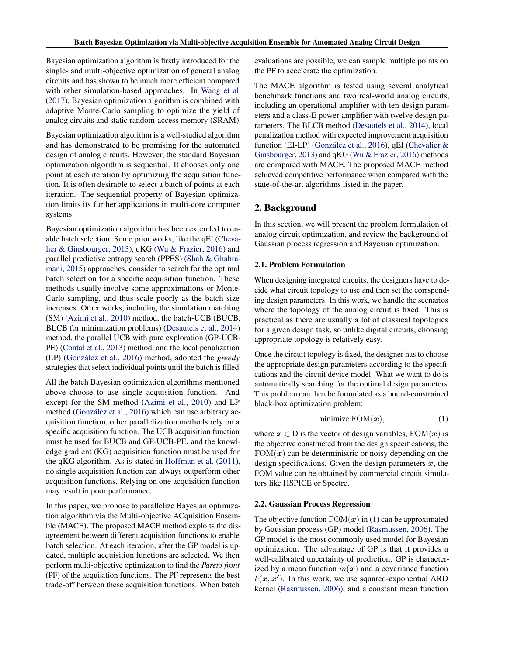Bayesian optimization algorithm is firstly introduced for the single- and multi-objective optimization of general analog circuits and has shown to be much more efficient compared with other simulation-based approaches. In [Wang et al.](#page-8-0) [\(2017\)](#page-8-0), Bayesian optimization algorithm is combined with adaptive Monte-Carlo sampling to optimize the yield of analog circuits and static random-access memory (SRAM).

Bayesian optimization algorithm is a well-studied algorithm and has demonstrated to be promising for the automated design of analog circuits. However, the standard Bayesian optimization algorithm is sequential. It chooses only one point at each iteration by optimizing the acquisition function. It is often desirable to select a batch of points at each iteration. The sequential property of Bayesian optimization limits its further applications in multi-core computer systems.

Bayesian optimization algorithm has been extended to enable batch selection. Some prior works, like the qEI [\(Cheva](#page-7-0)[lier & Ginsbourger,](#page-7-0) [2013\)](#page-7-0), qKG [\(Wu & Frazier,](#page-8-0) [2016\)](#page-8-0) and parallel predictive entropy search (PPES) [\(Shah & Ghahra](#page-8-0)[mani,](#page-8-0) [2015\)](#page-8-0) approaches, consider to search for the optimal batch selection for a specific acquisition function. These methods usually involve some approximations or Monte-Carlo sampling, and thus scale poorly as the batch size increases. Other works, including the simulation matching (SM) [\(Azimi et al.,](#page-7-0) [2010\)](#page-7-0) method, the batch-UCB (BUCB, BLCB for minimization problems) [\(Desautels et al.,](#page-7-0) [2014\)](#page-7-0) method, the parallel UCB with pure exploration (GP-UCB-PE) [\(Contal et al.,](#page-7-0) [2013\)](#page-7-0) method, and the local penalization (LP) (González et al., [2016\)](#page-8-0) method, adopted the *greedy* strategies that select individual points until the batch is filled.

All the batch Bayesian optimization algorithms mentioned above choose to use single acquisition function. And except for the SM method [\(Azimi et al.,](#page-7-0) [2010\)](#page-7-0) and LP method (González et al., [2016\)](#page-8-0) which can use arbitrary acquisition function, other parallelization methods rely on a specific acquisition function. The UCB acquisition function must be used for BUCB and GP-UCB-PE, and the knowledge gradient (KG) acquisition function must be used for the qKG algorithm. As is stated in [Hoffman et al.](#page-8-0) [\(2011\)](#page-8-0), no single acquisition function can always outperform other acquisition functions. Relying on one acquisition function may result in poor performance.

In this paper, we propose to parallelize Bayesian optimization algorithm via the Multi-objective ACquisition Ensemble (MACE). The proposed MACE method exploits the disagreement between different acquisition functions to enable batch selection. At each iteration, after the GP model is updated, multiple acquisition functions are selected. We then perform multi-objective optimization to find the *Pareto front* (PF) of the acquisition functions. The PF represents the best trade-off between these acquisition functions. When batch

evaluations are possible, we can sample multiple points on the PF to accelerate the optimization.

The MACE algorithm is tested using several analytical benchmark functions and two real-world analog circuits, including an operational amplifier with ten design parameters and a class-E power amplifier with twelve design parameters. The BLCB method [\(Desautels et al.,](#page-7-0) [2014\)](#page-7-0), local penalization method with expected improvement acquisition function (EI-LP) (González et al., [2016\)](#page-8-0), qEI (Chevalier  $\&$ [Ginsbourger,](#page-7-0) [2013\)](#page-7-0) and qKG [\(Wu & Frazier,](#page-8-0) [2016\)](#page-8-0) methods are compared with MACE. The proposed MACE method achieved competitive performance when compared with the state-of-the-art algorithms listed in the paper.

# 2. Background

In this section, we will present the problem formulation of analog circuit optimization, and review the background of Gaussian process regression and Bayesian optimization.

#### 2.1. Problem Formulation

When designing integrated circuits, the designers have to decide what circuit topology to use and then set the corrsponding design parameters. In this work, we handle the scenarios where the topology of the analog circuit is fixed. This is practical as there are usually a lot of classical topologies for a given design task, so unlike digital circuits, choosing appropriate topology is relatively easy.

Once the circuit topology is fixed, the designer has to choose the appropriate design parameters according to the specifications and the circuit device model. What we want to do is automatically searching for the optimal design parameters. This problem can then be formulated as a bound-constrained black-box optimization problem:

$$
minimize  $FOM(\boldsymbol{x}),$  (1)
$$

where  $x \in D$  is the vector of design variables,  $FOM(x)$  is the objective constructed from the design specifications, the  $FOM(x)$  can be deterministric or noisy depending on the design specifications. Given the design parameters  $x$ , the FOM value can be obtained by commercial circuit simulators like HSPICE or Spectre.

#### 2.2. Gaussian Process Regression

The objective function  $FOM(x)$  in (1) can be approximated by Gaussian process (GP) model [\(Rasmussen,](#page-8-0) [2006\)](#page-8-0). The GP model is the most commonly used model for Bayesian optimization. The advantage of GP is that it provides a well-calibrated uncertainty of prediction. GP is characterized by a mean function  $m(x)$  and a covariance function  $k(x, x')$ . In this work, we use squared-exponential ARD kernel [\(Rasmussen,](#page-8-0) [2006\)](#page-8-0), and a constant mean function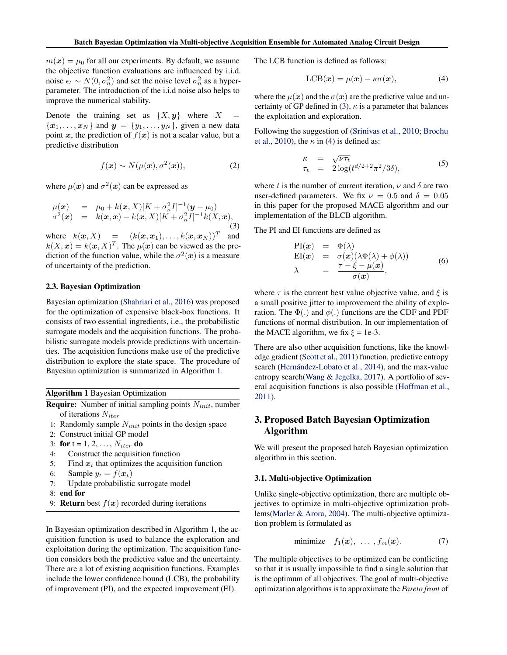<span id="page-2-0"></span> $m(x) = \mu_0$  for all our experiments. By default, we assume the objective function evaluations are influenced by i.i.d. noise  $\epsilon_t \sim N(0, \sigma_n^2)$  and set the noise level  $\sigma_n^2$  as a hyperparameter. The introduction of the i.i.d noise also helps to improve the numerical stability.

Denote the training set as  $\{X, y\}$  where  $X =$  ${x_1, \ldots, x_N}$  and  $y = {y_1, \ldots, y_N}$ , given a new data point x, the prediction of  $f(x)$  is not a scalar value, but a predictive distribution

$$
f(\boldsymbol{x}) \sim N(\mu(\boldsymbol{x}), \sigma^2(\boldsymbol{x})), \tag{2}
$$

where  $\mu(x)$  and  $\sigma^2(x)$  can be expressed as

$$
\mu(\mathbf{x}) = \mu_0 + k(\mathbf{x}, X)[K + \sigma_n^2 I]^{-1}(\mathbf{y} - \mu_0) \n\sigma^2(\mathbf{x}) = k(\mathbf{x}, \mathbf{x}) - k(\mathbf{x}, X)[K + \sigma_n^2 I]^{-1}k(X, \mathbf{x}),
$$
\n(3)

where  $k(\mathbf{x}, X)$  =  $(k(\mathbf{x}, \mathbf{x}_1), \dots, k(\mathbf{x}, \mathbf{x}_N))^T$  and  $k(X, x) = k(x, X)^T$ . The  $\mu(x)$  can be viewed as the prediction of the function value, while the  $\sigma^2(x)$  is a measure of uncertainty of the prediction.

## 2.3. Bayesian Optimization

Bayesian optimization [\(Shahriari et al.,](#page-8-0) [2016\)](#page-8-0) was proposed for the optimization of expensive black-box functions. It consists of two essential ingredients, i.e., the probabilistic surrogate models and the acquisition functions. The probabilistic surrogate models provide predictions with uncertainties. The acquisition functions make use of the predictive distribution to explore the state space. The procedure of Bayesian optimization is summarized in Algorithm 1.

Algorithm 1 Bayesian Optimization

**Require:** Number of initial sampling points  $N_{init}$ , number of iterations  $N_{iter}$ 

- 1: Randomly sample  $N_{init}$  points in the design space
- 2: Construct initial GP model
- 3: for  $t = 1, 2, ..., N_{iter}$  do
- 4: Construct the acquisition function
- 5: Find  $x_t$  that optimizes the acquisition function
- 6: Sample  $y_t = f(\boldsymbol{x}_t)$
- 7: Update probabilistic surrogate model
- 8: end for
- 9: **Return** best  $f(x)$  recorded during iterations

In Bayesian optimization described in Algorithm 1, the acquisition function is used to balance the exploration and exploitation during the optimization. The acquisition function considers both the predictive value and the uncertainty. There are a lot of existing acquisition functions. Examples include the lower confidence bound (LCB), the probability of improvement (PI), and the expected improvement (EI).

The LCB function is defined as follows:

$$
LCB(\boldsymbol{x}) = \mu(\boldsymbol{x}) - \kappa \sigma(\boldsymbol{x}), \tag{4}
$$

where the  $\mu(x)$  and the  $\sigma(x)$  are the predictive value and uncertainty of GP defined in (3),  $\kappa$  is a parameter that balances the exploitation and exploration.

Following the suggestion of [\(Srinivas et al.,](#page-8-0) [2010;](#page-8-0) [Brochu](#page-7-0) [et al.,](#page-7-0) [2010\)](#page-7-0), the  $\kappa$  in (4) is defined as:

$$
\begin{array}{rcl}\n\kappa & = & \sqrt{\nu \tau_t} \\
\tau_t & = & 2 \log(t^{d/2 + 2} \pi^2 / 3\delta),\n\end{array} \tag{5}
$$

where t is the number of current iteration,  $\nu$  and  $\delta$  are two user-defined parameters. We fix  $\nu = 0.5$  and  $\delta = 0.05$ in this paper for the proposed MACE algorithm and our implementation of the BLCB algorithm.

The PI and EI functions are defined as

$$
PI(x) = Φ(λ)
$$
  
\n
$$
EI(x) = σ(x)(λΦ(λ) + φ(λ))
$$
  
\n
$$
λ = \frac{τ - ξ - μ(x)}{σ(x)},
$$
\n(6)

where  $\tau$  is the current best value objective value, and  $\xi$  is a small positive jitter to improvement the ability of exploration. The  $\Phi(.)$  and  $\phi(.)$  functions are the CDF and PDF functions of normal distribution. In our implementation of the MACE algorithm, we fix  $\xi = 1e-3$ .

There are also other acquisition functions, like the knowledge gradient [\(Scott et al.,](#page-8-0) [2011\)](#page-8-0) function, predictive entropy search (Hernández-Lobato et al., [2014\)](#page-8-0), and the max-value entropy search[\(Wang & Jegelka,](#page-8-0) [2017\)](#page-8-0). A portfolio of several acquisition functions is also possible [\(Hoffman et al.,](#page-8-0) [2011\)](#page-8-0).

# 3. Proposed Batch Bayesian Optimization Algorithm

We will present the proposed batch Bayesian optimization algorithm in this section.

#### 3.1. Multi-objective Optimization

Unlike single-objective optimization, there are multiple objectives to optimize in multi-objective optimization problems[\(Marler & Arora,](#page-8-0) [2004\)](#page-8-0). The multi-objective optimization problem is formulated as

$$
\text{minimize} \quad f_1(\boldsymbol{x}), \ \dots \ , f_m(\boldsymbol{x}). \tag{7}
$$

The multiple objectives to be optimized can be conflicting so that it is usually impossible to find a single solution that is the optimum of all objectives. The goal of multi-objective optimization algorithms is to approximate the *Pareto front* of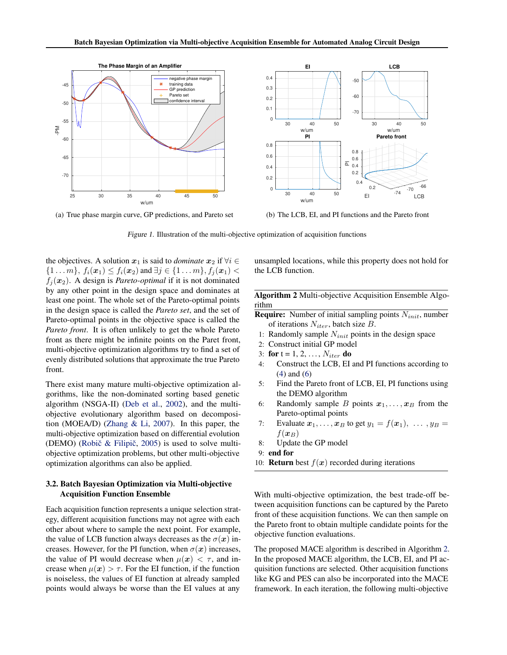<span id="page-3-0"></span>

(a) True phase margin curve, GP predictions, and Pareto set



(b) The LCB, EI, and PI functions and the Pareto front

Figure 1. Illustration of the multi-objective optimization of acquisition functions

the objectives. A solution  $x_1$  is said to *dominate*  $x_2$  if  $\forall i \in$  $\{1 \dots m\}, f_i(\bm{x}_1) \le f_i(\bm{x}_2)$  and  $\exists j \in \{1 \dots m\}, f_j(\bm{x}_1)$  $f_i(\mathbf{x}_2)$ . A design is *Pareto-optimal* if it is not dominated by any other point in the design space and dominates at least one point. The whole set of the Pareto-optimal points in the design space is called the *Pareto set*, and the set of Pareto-optimal points in the objective space is called the *Pareto front*. It is often unlikely to get the whole Pareto front as there might be infinite points on the Paret front, multi-objective optimization algorithms try to find a set of evenly distributed solutions that approximate the true Pareto front.

There exist many mature multi-objective optimization algorithms, like the non-dominated sorting based genetic algorithm (NSGA-II) [\(Deb et al.,](#page-7-0) [2002\)](#page-7-0), and the multiobjective evolutionary algorithm based on decomposition (MOEA/D) [\(Zhang & Li,](#page-8-0) [2007\)](#page-8-0). In this paper, the multi-objective optimization based on differential evolution (DEMO) (Robič  $\&$  Filipič, [2005\)](#page-8-0) is used to solve multiobjective optimization problems, but other multi-objective optimization algorithms can also be applied.

#### 3.2. Batch Bayesian Optimization via Multi-objective Acquisition Function Ensemble

Each acquisition function represents a unique selection strategy, different acquisition functions may not agree with each other about where to sample the next point. For example, the value of LCB function always decreases as the  $\sigma(x)$  increases. However, for the PI function, when  $\sigma(x)$  increases, the value of PI would decrease when  $\mu(x) < \tau$ , and increase when  $\mu(x) > \tau$ . For the EI function, if the function is noiseless, the values of EI function at already sampled points would always be worse than the EI values at any

unsampled locations, while this property does not hold for the LCB function.

Algorithm 2 Multi-objective Acquisition Ensemble Algorithm

- **Require:** Number of initial sampling points  $N_{init}$ , number of iterations  $N_{iter}$ , batch size B.
- 1: Randomly sample  $N_{init}$  points in the design space
- 2: Construct initial GP model
- 3: for  $t = 1, 2, ..., N_{iter}$  do
- 4: Construct the LCB, EI and PI functions according to [\(4\)](#page-2-0) and [\(6\)](#page-2-0)
- 5: Find the Pareto front of LCB, EI, PI functions using the DEMO algorithm
- 6: Randomly sample B points  $x_1, \ldots, x_B$  from the Pareto-optimal points
- 7: Evaluate  $x_1, \ldots, x_B$  to get  $y_1 = f(x_1), \ldots, y_B =$  $f(\boldsymbol{x}_B)$
- 8: Update the GP model
- 9: end for
- 10: **Return** best  $f(x)$  recorded during iterations

With multi-objective optimization, the best trade-off between acquisition functions can be captured by the Pareto front of these acquisition functions. We can then sample on the Pareto front to obtain multiple candidate points for the objective function evaluations.

The proposed MACE algorithm is described in Algorithm 2. In the proposed MACE algorithm, the LCB, EI, and PI acquisition functions are selected. Other acquisition functions like KG and PES can also be incorporated into the MACE framework. In each iteration, the following multi-objective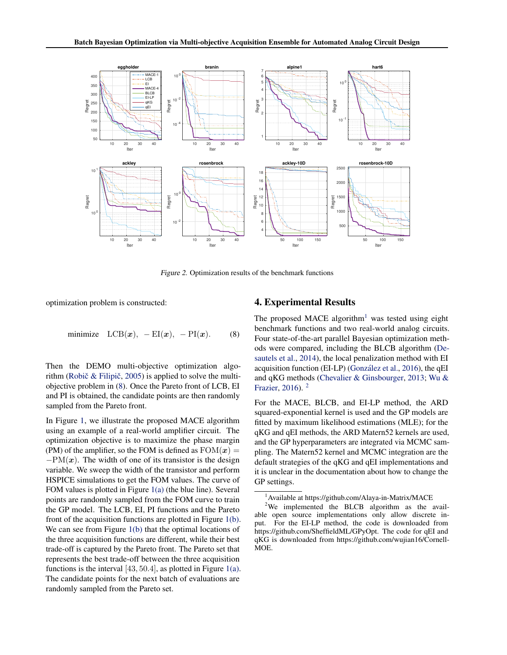<span id="page-4-0"></span>

Figure 2. Optimization results of the benchmark functions

optimization problem is constructed:

$$
\text{minimize } \text{LCB}(\boldsymbol{x}), -\text{EI}(\boldsymbol{x}), -\text{PI}(\boldsymbol{x}). \tag{8}
$$

Then the DEMO multi-objective optimization algorithm (Robič  $&$  Filipič, [2005\)](#page-8-0) is applied to solve the multiobjective problem in (8). Once the Pareto front of LCB, EI and PI is obtained, the candidate points are then randomly sampled from the Pareto front.

In Figure [1,](#page-3-0) we illustrate the proposed MACE algorithm using an example of a real-world amplifier circuit. The optimization objective is to maximize the phase margin (PM) of the amplifier, so the FOM is defined as  $FOM(x) =$  $-PM(x)$ . The width of one of its transistor is the design variable. We sweep the width of the transistor and perform HSPICE simulations to get the FOM values. The curve of FOM values is plotted in Figure [1\(a\)](#page-3-0) (the blue line). Several points are randomly sampled from the FOM curve to train the GP model. The LCB, EI, PI functions and the Pareto front of the acquisition functions are plotted in Figure [1\(b\).](#page-3-0) We can see from Figure [1\(b\)](#page-3-0) that the optimal locations of the three acquisition functions are different, while their best trade-off is captured by the Pareto front. The Pareto set that represents the best trade-off between the three acquisition functions is the interval  $[43, 50.4]$ , as plotted in Figure [1\(a\).](#page-3-0) The candidate points for the next batch of evaluations are randomly sampled from the Pareto set.

## 4. Experimental Results

The proposed MACE algorithm<sup>1</sup> was tested using eight benchmark functions and two real-world analog circuits. Four state-of-the-art parallel Bayesian optimization methods were compared, including the BLCB algorithm [\(De](#page-7-0)[sautels et al.,](#page-7-0) [2014\)](#page-7-0), the local penalization method with EI acquisition function (EI-LP) (González et al., [2016\)](#page-8-0), the qEI and qKG methods [\(Chevalier & Ginsbourger,](#page-7-0) [2013;](#page-7-0) [Wu &](#page-8-0) [Frazier,](#page-8-0) [2016\)](#page-8-0). <sup>2</sup>

For the MACE, BLCB, and EI-LP method, the ARD squared-exponential kernel is used and the GP models are fitted by maximum likelihood estimations (MLE); for the qKG and qEI methods, the ARD Matern52 kernels are used, and the GP hyperparameters are integrated via MCMC sampling. The Matern52 kernel and MCMC integration are the default strategies of the qKG and qEI implementations and it is unclear in the documentation about how to change the GP settings.

<sup>&</sup>lt;sup>1</sup> Available at https://github.com/Alaya-in-Matrix/MACE

 $2$ We implemented the BLCB algorithm as the available open source implementations only allow discrete input. For the EI-LP method, the code is downloaded from https://github.com/SheffieldML/GPyOpt. The code for qEI and qKG is downloaded from https://github.com/wujian16/Cornell-MOE.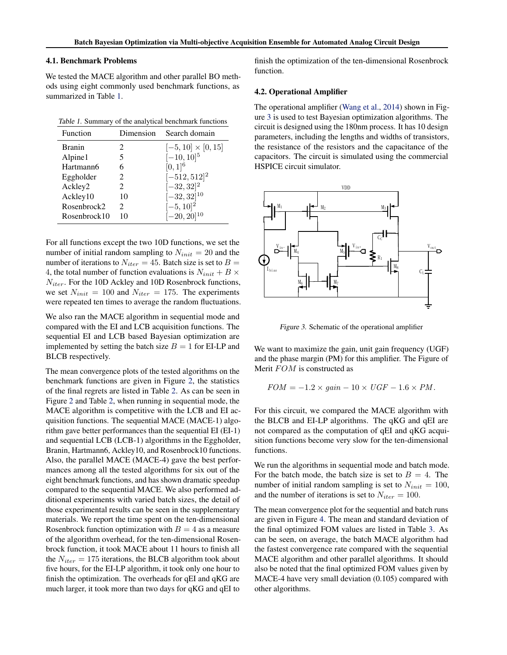#### 4.1. Benchmark Problems

We tested the MACE algorithm and other parallel BO methods using eight commonly used benchmark functions, as summarized in Table 1.

|  |  |  |  | Table 1. Summary of the analytical benchmark functions |  |
|--|--|--|--|--------------------------------------------------------|--|
|--|--|--|--|--------------------------------------------------------|--|

| Function      | Dimension | Search domain             |
|---------------|-----------|---------------------------|
| <b>Branin</b> | 2         | $[-5, 10] \times [0, 15]$ |
| Alpine1       | 5         | $[-10, 10]^{5}$           |
| Hartmann6     | 6         | $[0, 1]^{6}$              |
| Eggholder     | 2         | $[-512, 512]^{2}$         |
| Ackley2       | 2         | $[-32, 32]^{2}$           |
| Ackley10      | 10        | $[-32, 32]^{10}$          |
| Rosenbrock2   | 2         | $[-5, 10]^{2}$            |
| Rosenbrock10  | 10        | $[-20, 20]^{10}$          |
|               |           |                           |

For all functions except the two 10D functions, we set the number of initial random sampling to  $N_{init} = 20$  and the number of iterations to  $N_{iter} = 45$ . Batch size is set to  $B =$ 4, the total number of function evaluations is  $N_{init} + B \times$  $N_{iter}$ . For the 10D Ackley and 10D Rosenbrock functions, we set  $N_{init} = 100$  and  $N_{iter} = 175$ . The experiments were repeated ten times to average the random fluctuations.

We also ran the MACE algorithm in sequential mode and compared with the EI and LCB acquisition functions. The sequential EI and LCB based Bayesian optimization are implemented by setting the batch size  $B = 1$  for EI-LP and BLCB respectively.

The mean convergence plots of the tested algorithms on the benchmark functions are given in Figure [2,](#page-4-0) the statistics of the final regrets are listed in Table [2.](#page-6-0) As can be seen in Figure [2](#page-4-0) and Table [2,](#page-6-0) when running in sequential mode, the MACE algorithm is competitive with the LCB and EI acquisition functions. The sequential MACE (MACE-1) algorithm gave better performances than the sequential EI (EI-1) and sequential LCB (LCB-1) algorithms in the Eggholder, Branin, Hartmann6, Ackley10, and Rosenbrock10 functions. Also, the parallel MACE (MACE-4) gave the best performances among all the tested algorithms for six out of the eight benchmark functions, and has shown dramatic speedup compared to the sequential MACE. We also performed additional experiments with varied batch sizes, the detail of those experimental results can be seen in the supplementary materials. We report the time spent on the ten-dimensional Rosenbrock function optimization with  $B = 4$  as a measure of the algorithm overhead, for the ten-dimensional Rosenbrock function, it took MACE about 11 hours to finish all the  $N_{iter} = 175$  iterations, the BLCB algorithm took about five hours, for the EI-LP algorithm, it took only one hour to finish the optimization. The overheads for qEI and qKG are much larger, it took more than two days for qKG and qEI to

finish the optimization of the ten-dimensional Rosenbrock function.

#### 4.2. Operational Amplifier

The operational amplifier [\(Wang et al.,](#page-8-0) [2014\)](#page-8-0) shown in Figure 3 is used to test Bayesian optimization algorithms. The circuit is designed using the 180nm process. It has 10 design parameters, including the lengths and widths of transistors, the resistance of the resistors and the capacitance of the capacitors. The circuit is simulated using the commercial HSPICE circuit simulator.



Figure 3. Schematic of the operational amplifier

We want to maximize the gain, unit gain frequency (UGF) and the phase margin (PM) for this amplifier. The Figure of Merit FOM is constructed as

$$
FOM = -1.2 \times gain - 10 \times UGF - 1.6 \times PM.
$$

For this circuit, we compared the MACE algorithm with the BLCB and EI-LP algorithms. The qKG and qEI are not compared as the computation of qEI and qKG acquisition functions become very slow for the ten-dimensional functions.

We run the algorithms in sequential mode and batch mode. For the batch mode, the batch size is set to  $B = 4$ . The number of initial random sampling is set to  $N_{init} = 100$ , and the number of iterations is set to  $N_{iter} = 100$ .

The mean convergence plot for the sequential and batch runs are given in Figure [4.](#page-6-0) The mean and standard deviation of the final optimized FOM values are listed in Table [3.](#page-6-0) As can be seen, on average, the batch MACE algorithm had the fastest convergence rate compared with the sequential MACE algorithm and other parallel algorithms. It should also be noted that the final optimized FOM values given by MACE-4 have very small deviation (0.105) compared with other algorithms.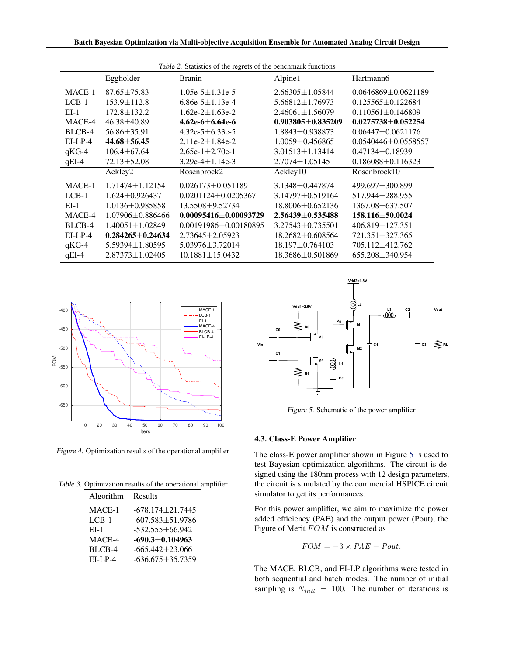<span id="page-6-0"></span>

|           | Eggholder              | Table 2. Statistics of the regrets of the benchmark functions<br><b>Branin</b> | Alpine1                | Hartmann6                 |
|-----------|------------------------|--------------------------------------------------------------------------------|------------------------|---------------------------|
|           |                        |                                                                                |                        |                           |
| MACE-1    | $87.65 \pm 75.83$      | 1.05e-5 $\pm$ 1.31e-5                                                          | $2.66305 \pm 1.05844$  | $0.0646869 \pm 0.0621189$ |
| $LCB-1$   | $153.9 \pm 112.8$      | 6.86e-5 $\pm$ 1.13e-4                                                          | $5.66812 \pm 1.76973$  | $0.125565 \pm 0.122684$   |
| $EI-1$    | $172.8 \pm 132.2$      | $1.62e-2 \pm 1.63e-2$                                                          | $2.46061 \pm 1.56079$  | $0.110561 \pm 0.146809$   |
| MACE-4    | $46.38 \pm 40.89$      | 4.62e-6 $\pm$ 6.64e-6                                                          | $0.903805 + 0.835209$  | $0.0275738 \pm 0.052254$  |
| BLCB-4    | $56.86 \pm 35.91$      | 4.32e-5 $\pm$ 6.33e-5                                                          | $1.8843 \pm 0.938873$  | $0.06447 + 0.0621176$     |
| $EI-LP-4$ | $44.68 \pm 56.45$      | $2.11e-2 \pm 1.84e-2$                                                          | $1.0059 \pm 0.456865$  | $0.0540446 \pm 0.0558557$ |
| $qKG-4$   | $106.4 \pm 67.64$      | 2.65e-1 $\pm$ 2.70e-1                                                          | $3.01513 \pm 1.13414$  | $0.47134 \pm 0.18939$     |
| $qEI-4$   | $72.13 \pm 52.08$      | 3.29e-4 $\pm$ 1.14e-3                                                          | $2.7074 \pm 1.05145$   | $0.186088 \pm 0.116323$   |
|           | Ackley2                | Rosenbrock2                                                                    | Ackley10               | Rosenbrock10              |
| MACE-1    | $1.71474 \pm 1.12154$  | $0.026173 \pm 0.051189$                                                        | 3.1348±0.447874        | 499.697±300.899           |
| $LCB-1$   | $1.624 \pm 0.926437$   | $0.0201124 \pm 0.0205367$                                                      | $3.14797 \pm 0.519164$ | 517.944±288.955           |
| $EI-1$    | $1.0136 \pm 0.985858$  | 13.5508 ± 9.52734                                                              | 18.8006±0.652136       | 1367.08 ± 637.507         |
| MACE-4    | $1.07906 + 0.886466$   | $0.00095416 + 0.00093729$                                                      | $2.56439 + 0.535488$   | 158.116±50.0024           |
| BLCB-4    | $1.40051 \pm 1.02849$  | $0.00191986 \pm 0.00180895$                                                    | $3.27543 \pm 0.735501$ | $406.819 \pm 127.351$     |
| $EI-LP-4$ | $0.284265 \pm 0.24634$ | $2.73645 \pm 2.05923$                                                          | $18.2682 \pm 0.608564$ | 721.351±327.365           |
| $qKG-4$   | $5.59394 \pm 1.80595$  | $5.03976 \pm 3.72014$                                                          | $18.197 \pm 0.764103$  | 705.112±412.762           |
| $qEI-4$   | $2.87373 \pm 1.02405$  | $10.1881 \pm 15.0432$                                                          | 18.3686±0.501869       | $655.208 \pm 340.954$     |



Figure 4. Optimization results of the operational amplifier

Table 3. Optimization results of the operational amplifier

| <b>Algorithm</b> | Results                |
|------------------|------------------------|
| MACE-1           | $-678.174 + 21.7445$   |
| $LCB-1$          | $-607.583 \pm 51.9786$ |
| $E-I-1$          | $-532.555 + 66.942$    |
| MACE-4           | $-690.3 \pm 0.104963$  |
| BLCB-4           | $-665.442+23.066$      |
| $E-I.P-4$        | $-636.675 \pm 35.7359$ |



Figure 5. Schematic of the power amplifier

#### 4.3. Class-E Power Amplifier

The class-E power amplifier shown in Figure 5 is used to test Bayesian optimization algorithms. The circuit is designed using the 180nm process with 12 design parameters, the circuit is simulated by the commercial HSPICE circuit simulator to get its performances.

For this power amplifier, we aim to maximize the power added efficiency (PAE) and the output power (Pout), the Figure of Merit FOM is constructed as

$$
FOM = -3 \times PAE - Pout.
$$

The MACE, BLCB, and EI-LP algorithms were tested in both sequential and batch modes. The number of initial sampling is  $N_{init} = 100$ . The number of iterations is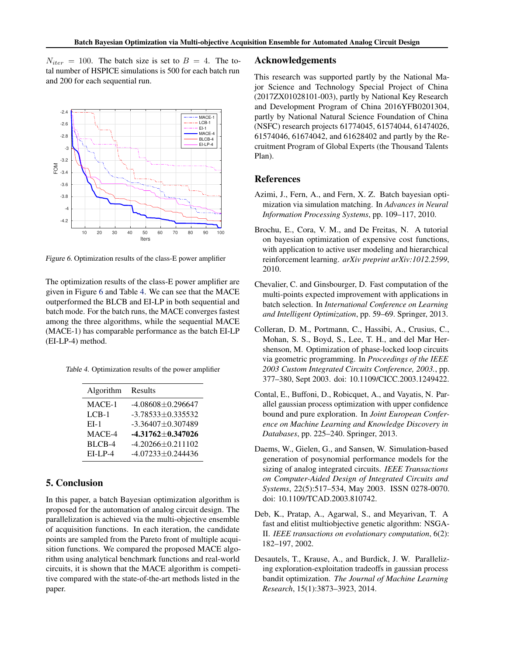<span id="page-7-0"></span> $N_{iter} = 100$ . The batch size is set to  $B = 4$ . The total number of HSPICE simulations is 500 for each batch run and 200 for each sequential run.



Figure 6. Optimization results of the class-E power amplifier

The optimization results of the class-E power amplifier are given in Figure 6 and Table 4. We can see that the MACE outperformed the BLCB and EI-LP in both sequential and batch mode. For the batch runs, the MACE converges fastest among the three algorithms, while the sequential MACE (MACE-1) has comparable performance as the batch EI-LP (EI-LP-4) method.

Table 4. Optimization results of the power amplifier

| Algorithm  | Results                 |
|------------|-------------------------|
| MACE-1     | $-4.08608 \pm 0.296647$ |
| $LCB-1$    | $-3.78533 + 0.335532$   |
| $E-I-1$    | $-3.36407 + 0.307489$   |
| MACE-4     | $-4.31762 \pm 0.347026$ |
| BLCB-4     | $-4.20266 + 0.211102$   |
| $EI-I.P-4$ | $-4.07233 + 0.244436$   |

# 5. Conclusion

In this paper, a batch Bayesian optimization algorithm is proposed for the automation of analog circuit design. The parallelization is achieved via the multi-objective ensemble of acquisition functions. In each iteration, the candidate points are sampled from the Pareto front of multiple acquisition functions. We compared the proposed MACE algorithm using analytical benchmark functions and real-world circuits, it is shown that the MACE algorithm is competitive compared with the state-of-the-art methods listed in the paper.

#### Acknowledgements

This research was supported partly by the National Major Science and Technology Special Project of China (2017ZX01028101-003), partly by National Key Research and Development Program of China 2016YFB0201304, partly by National Natural Science Foundation of China (NSFC) research projects 61774045, 61574044, 61474026, 61574046, 61674042, and 61628402 and partly by the Recruitment Program of Global Experts (the Thousand Talents Plan).

## References

- Azimi, J., Fern, A., and Fern, X. Z. Batch bayesian optimization via simulation matching. In *Advances in Neural Information Processing Systems*, pp. 109–117, 2010.
- Brochu, E., Cora, V. M., and De Freitas, N. A tutorial on bayesian optimization of expensive cost functions, with application to active user modeling and hierarchical reinforcement learning. *arXiv preprint arXiv:1012.2599*, 2010.
- Chevalier, C. and Ginsbourger, D. Fast computation of the multi-points expected improvement with applications in batch selection. In *International Conference on Learning and Intelligent Optimization*, pp. 59–69. Springer, 2013.
- Colleran, D. M., Portmann, C., Hassibi, A., Crusius, C., Mohan, S. S., Boyd, S., Lee, T. H., and del Mar Hershenson, M. Optimization of phase-locked loop circuits via geometric programming. In *Proceedings of the IEEE 2003 Custom Integrated Circuits Conference, 2003.*, pp. 377–380, Sept 2003. doi: 10.1109/CICC.2003.1249422.
- Contal, E., Buffoni, D., Robicquet, A., and Vayatis, N. Parallel gaussian process optimization with upper confidence bound and pure exploration. In *Joint European Conference on Machine Learning and Knowledge Discovery in Databases*, pp. 225–240. Springer, 2013.
- Daems, W., Gielen, G., and Sansen, W. Simulation-based generation of posynomial performance models for the sizing of analog integrated circuits. *IEEE Transactions on Computer-Aided Design of Integrated Circuits and Systems*, 22(5):517–534, May 2003. ISSN 0278-0070. doi: 10.1109/TCAD.2003.810742.
- Deb, K., Pratap, A., Agarwal, S., and Meyarivan, T. A fast and elitist multiobjective genetic algorithm: NSGA-II. *IEEE transactions on evolutionary computation*, 6(2): 182–197, 2002.
- Desautels, T., Krause, A., and Burdick, J. W. Parallelizing exploration-exploitation tradeoffs in gaussian process bandit optimization. *The Journal of Machine Learning Research*, 15(1):3873–3923, 2014.